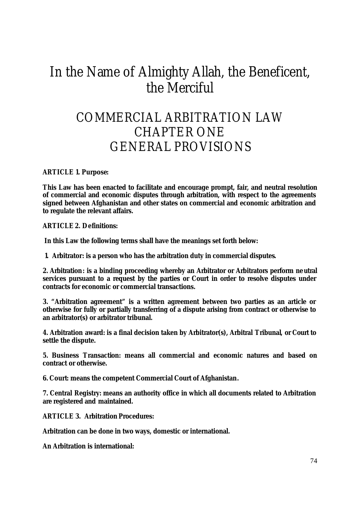# In the Name of Almighty Allah, the Beneficent, the Merciful

# COMMERCIAL ARBITRATION LAW CHAPTER ONE GENERAL PROVISIONS

**ARTICLE 1. Purpose:** 

**This Law has been enacted to facilitate and encourage prompt, fair, and neutral resolution of commercial and economic disputes through arbitration, with respect to the agreements signed between Afghanistan and other states on commercial and economic arbitration and to regulate the relevant affairs.** 

**ARTICLE 2. Definitions:** 

 **In this Law the following terms shall have the meanings set forth below:** 

**1. Arbitrator: is a person who has the arbitration duty in commercial disputes.**

**2. Arbitration: is a binding proceeding whereby an Arbitrator or Arbitrators perform neutral services pursuant to a request by the parties or Court in order to resolve disputes under contracts for economic or commercial transactions.** 

**3. "Arbitration agreement" is a written agreement between two parties as an article or otherwise for fully or partially transferring of a dispute arising from contract or otherwise to an arbitrator(s) or arbitrator tribunal.**

**4. Arbitration award: is a final decision taken by Arbitrator(s), Arbitral Tribunal, or Court to settle the dispute.**

**5. Business Transaction: means all commercial and economic natures and based on contract or otherwise.**

**6. Court: means the competent Commercial Court of Afghanistan.**

**7. Central Registry: means an authority office in which all documents related to Arbitration are registered and maintained.**

**ARTICLE 3. Arbitration Procedures:** 

**Arbitration can be done in two ways, domestic or international.** 

**An Arbitration is international:**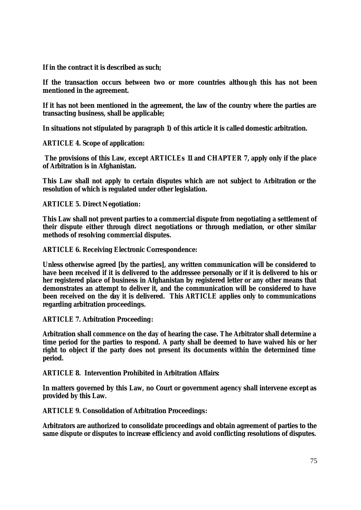**If in the contract it is described as such;**

**If the transaction occurs between two or more countries although this has not been mentioned in the agreement.**

**If it has not been mentioned in the agreement, the law of the country where the parties are transacting business, shall be applicable;**

**In situations not stipulated by paragraph 1) of this article it is called domestic arbitration.**

**ARTICLE 4. Scope of application:**

 **The provisions of this Law, except ARTICLEs 11 and CHAPTER 7, apply only if the place of Arbitration is in Afghanistan.**

**This Law shall not apply to certain disputes which are not subject to Arbitration or the resolution of which is regulated under other legislation.** 

**ARTICLE 5. Direct Negotiation:** 

**This Law shall not prevent parties to a commercial dispute from negotiating a settlement of their dispute either through direct negotiations or through mediation, or other similar methods of resolving commercial disputes.**

**ARTICLE 6. Receiving Electronic Correspondence:** 

**Unless otherwise agreed [by the parties], any written communication will be considered to have been received if it is delivered to the addressee personally or if it is delivered to his or her registered place of business in Afghanistan by registered letter or any other means that demonstrates an attempt to deliver it, and the communication will be considered to have**  been received on the day it is delivered. This ARTICLE applies only to communications **regarding arbitration proceedings.**

**ARTICLE 7. Arbitration Proceeding:** 

**Arbitration shall commence on the day of hearing the case. The Arbitrator shall determine a time period for the parties to respond. A party shall be deemed to have waived his or her right to object if the party does not present its documents within the determined time period.** 

**ARTICLE 8. Intervention Prohibited in Arbitration Affairs:** 

**In matters governed by this Law, no Court or government agency shall intervene except as provided by this Law.**

**ARTICLE 9. Consolidation of Arbitration Proceedings:** 

**Arbitrators are authorized to consolidate proceedings and obtain agreement of parties to the same dispute or disputes to increase efficiency and avoid conflicting resolutions of disputes.**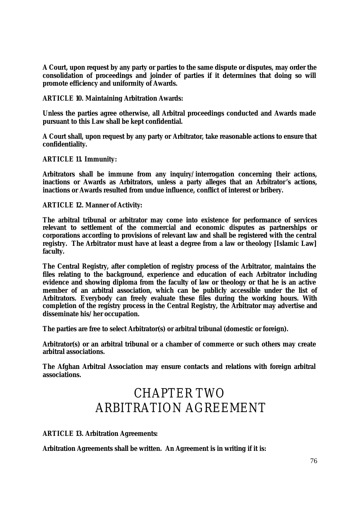**A Court, upon request by any party or parties to the same dispute or disputes, may order the consolidation of proceedings and joinder of parties if it determines that doing so will promote efficiency and uniformity of Awards.**

**ARTICLE 10. Maintaining Arbitration Awards:**

**Unless the parties agree otherwise, all Arbitral proceedings conducted and Awards made pursuant to this Law shall be kept confidential.** 

**A Court shall, upon request by any party or Arbitrator, take reasonable actions to ensure that confidentiality.** 

**ARTICLE 11. Immunity:** 

**Arbitrators shall be immune from any inquiry/interrogation concerning their actions, inactions or Awards as Arbitrators, unless a party alleges that an Arbitrator's actions, inactions or Awards resulted from undue influence, conflict of interest or bribery.** 

**ARTICLE 12. Manner of Activity:**

**The arbitral tribunal or arbitrator may come into existence for performance of services relevant to settlement of the commercial and economic disputes as partnerships or corporations according to provisions of relevant law and shall be registered with the central registry. The Arbitrator must have at least a degree from a law or theology [Islamic Law] faculty.** 

**The Central Registry, after completion of registry process of the Arbitrator, maintains the files relating to the background, experience and education of each Arbitrator including evidence and showing diploma from the faculty of law or theology or that he is an active member of an arbitral association, which can be publicly accessible under the list of Arbitrators. Everybody can freely evaluate these files during the working hours. With completion of the registry process in the Central Registry, the Arbitrator may advertise and disseminate his/her occupation.** 

**The parties are free to select Arbitrator(s) or arbitral tribunal (domestic or foreign).**

**Arbitrator(s) or an arbitral tribunal or a chamber of commerce or such others may create arbitral associations.**

**The Afghan Arbitral Association may ensure contacts and relations with foreign arbitral associations.**

# CHAPTER TWO ARBITRATION AGREEMENT

**ARTICLE 13. Arbitration Agreements:** 

**Arbitration Agreements shall be written. An Agreement is in writing if it is:**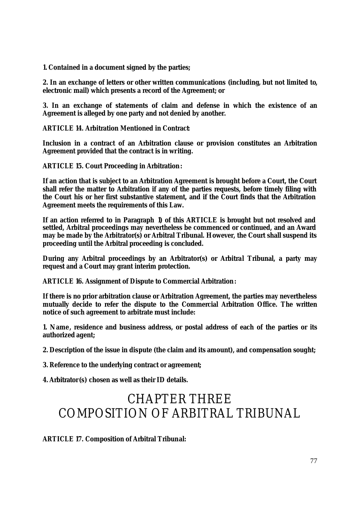**1. Contained in a document signed by the parties;**

**2. In an exchange of letters or other written communications (including, but not limited to, electronic mail) which presents a record of the Agreement; or**

**3. In an exchange of statements of claim and defense in which the existence of an Agreement is alleged by one party and not denied by another.** 

**ARTICLE 14. Arbitration Mentioned in Contract:** 

**Inclusion in a contract of an Arbitration clause or provision constitutes an Arbitration Agreement provided that the contract is in writing.**

**ARTICLE 15. Court Proceeding in Arbitration:** 

**If an action that is subject to an Arbitration Agreement is brought before a Court, the Court shall refer the matter to Arbitration if any of the parties requests, before timely filing with the Court his or her first substantive statement, and if the Court finds that the Arbitration Agreement meets the requirements of this Law.**

**If an action referred to in Paragraph 1) of this ARTICLE is brought but not resolved and settled, Arbitral proceedings may nevertheless be commenced or continued, and an Award may be made by the Arbitrator(s) or Arbitral Tribunal. However, the Court shall suspend its proceeding until the Arbitral proceeding is concluded.**

**During any Arbitral proceedings by an Arbitrator(s) or Arbitral Tribunal, a party may request and a Court may grant interim protection.**

**ARTICLE 16. Assignment of Dispute to Commercial Arbitration:** 

**If there is no prior arbitration clause or Arbitration Agreement, the parties may nevertheless mutually decide to refer the dispute to the Commercial Arbitration Office. The written notice of such agreement to arbitrate must include:**

**1. Name, residence and business address, or postal address of each of the parties or its authorized agent;**

**2. Description of the issue in dispute (the claim and its amount), and compensation sought;**

**3. Reference to the underlying contract or agreement;**

**4. Arbitrator(s) chosen as well as their ID details.**

# CHAPTER THREE COMPOSITION OF ARBITRAL TRIBUNAL

**ARTICLE 17. Composition of Arbitral Tribunal:**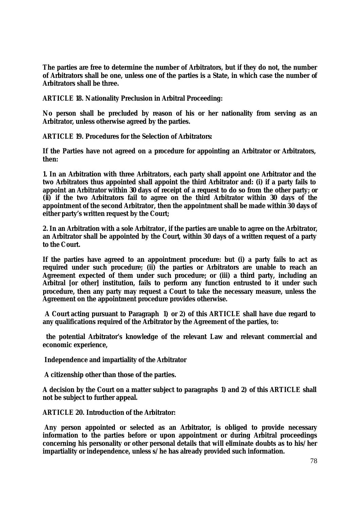**The parties are free to determine the number of Arbitrators, but if they do not, the number of Arbitrators shall be one, unless one of the parties is a State, in which case the number of Arbitrators shall be three.**

**ARTICLE 18. Nationality Preclusion in Arbitral Proceeding:** 

**No person shall be precluded by reason of his or her nationality from serving as an Arbitrator, unless otherwise agreed by the parties.** 

**ARTICLE 19. Procedures for the Selection of Arbitrators:**

**If the Parties have not agreed on a procedure for appointing an Arbitrator or Arbitrators, then:**

**1. In an Arbitration with three Arbitrators, each party shall appoint one Arbitrator and the two Arbitrators thus appointed shall appoint the third Arbitrator and: (i) if a party fails to appoint an Arbitrator within 30 days of receipt of a request to do so from the other party; or (ii) if the two Arbitrators fail to agree on the third Arbitrator within 30 days of the appointment of the second Arbitrator, then the appointment shall be made within 30 days of either party's written request by the Court;** 

**2. In an Arbitration with a sole Arbitrator, if the parties are unable to agree on the Arbitrator, an Arbitrator shall be appointed by the Court, within 30 days of a written request of a party to the Court.**

**If the parties have agreed to an appointment procedure: but (i) a party fails to act as required under such procedure; (ii) the parties or Arbitrators are unable to reach an Agreement expected of them under such procedure; or (iii) a third party, including an Arbitral [or other] institution, fails to perform any function entrusted to it under such procedure, then any party may request a Court to take the necessary measure, unless the Agreement on the appointment procedure provides otherwise.** 

 **A Court acting pursuant to Paragraph 1) or 2) of this ARTICLE shall have due regard to any qualifications required of the Arbitrator by the Agreement of the parties, to:**

 **the potential Arbitrator's knowledge of the relevant Law and relevant commercial and economic experience,** 

**Independence and impartiality of the Arbitrator**

**A citizenship other than those of the parties.**

**A decision by the Court on a matter subject to paragraphs 1) and 2) of this ARTICLE shall not be subject to further appeal.** 

**ARTICLE 20. Introduction of the Arbitrator:** 

 **Any person appointed or selected as an Arbitrator, is obliged to provide necessary information to the parties before or upon appointment or during Arbitral proceedings concerning his personality or other personal details that will eliminate doubts as to his/her impartiality or independence, unless s/he has already provided such information.**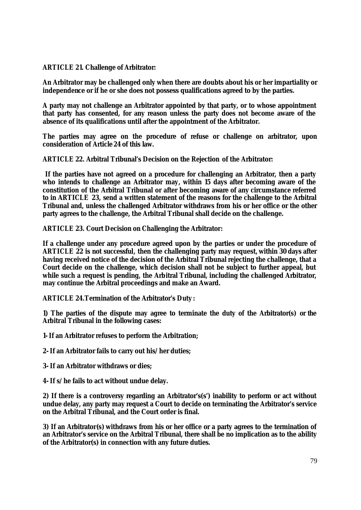**ARTICLE 21. Challenge of Arbitrator:** 

**An Arbitrator may be challenged only when there are doubts about his or her impartiality or independence or if he or she does not possess qualifications agreed to by the parties.** 

**A party may not challenge an Arbitrator appointed by that party, or to whose appointment that party has consented, for any reason unless the party does not become aware of the absence of its qualifications until after the appointment of the Arbitrator.**

**The parties may agree on the procedure of refuse or challenge on arbitrator, upon consideration of Article 24 of this law.** 

**ARTICLE 22. Arbitral Tribunal's Decision on the Rejection of the Arbitrator:**

 **If the parties have not agreed on a procedure for challenging an Arbitrator, then a party who intends to challenge an Arbitrator may, within 15 days after becoming aware of the constitution of the Arbitral Tribunal or after becoming aware of any circumstance referred to in ARTICLE 23, send a written statement of the reasons for the challenge to the Arbitral Tribunal and, unless the challenged Arbitrator withdraws from his or her office or the other party agrees to the challenge, the Arbitral Tribunal shall decide on the challenge.** 

**ARTICLE 23. Court Decision on Challenging the Arbitrator:** 

**If a challenge under any procedure agreed upon by the parties or under the procedure of ARTICLE 22 is not successful, then the challenging party may request, within 30 days after having received notice of the decision of the Arbitral Tribunal rejecting the challenge, that a Court decide on the challenge, which decision shall not be subject to further appeal, but while such a request is pending, the Arbitral Tribunal, including the challenged Arbitrator, may continue the Arbitral proceedings and make an Award.** 

**ARTICLE 24.Termination of the Arbitrator's Duty :**

**1) The parties of the dispute may agree to terminate the duty of the Arbitrator(s) or the Arbitral Tribunal in the following cases:** 

**1- If an Arbitrator refuses to perform the Arbitration;**

**2- If an Arbitrator fails to carry out his/her duties;**

**3- If an Arbitrator withdraws or dies;**

**4- If s/he fails to act without undue delay.** 

**2) If there is a controversy regarding an Arbitrator's(s') inability to perform or act without undue delay, any party may request a Court to decide on terminating the Arbitrator's service on the Arbitral Tribunal, and the Court order is final.**

**3) If an Arbitrator(s) withdraws from his or her office or a party agrees to the termination of an Arbitrator's service on the Arbitral Tribunal, there shall be no implication as to the ability of the Arbitrator(s) in connection with any future duties.**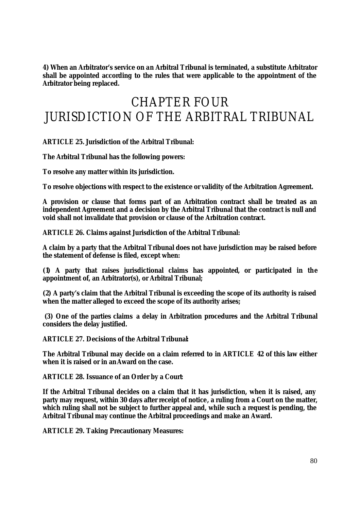**4) When an Arbitrator's service on an Arbitral Tribunal is terminated, a substitute Arbitrator shall be appointed according to the rules that were applicable to the appointment of the Arbitrator being replaced.** 

# CHAPTER FOUR JURISDICTION OF THE ARBITRAL TRIBUNAL

**ARTICLE 25. Jurisdiction of the Arbitral Tribunal:**

**The Arbitral Tribunal has the following powers:** 

**To resolve any matter within its jurisdiction.**

**To resolve objections with respect to the existence or validity of the Arbitration Agreement.** 

**A provision or clause that forms part of an Arbitration contract shall be treated as an independent Agreement and a decision by the Arbitral Tribunal that the contract is null and void shall not invalidate that provision or clause of the Arbitration contract.**

**ARTICLE 26. Claims against Jurisdiction of the Arbitral Tribunal:** 

**A claim by a party that the Arbitral Tribunal does not have jurisdiction may be raised before the statement of defense is filed, except when:** 

**(1) A party that raises jurisdictional claims has appointed, or participated in the appointment of, an Arbitrator(s), or Arbitral Tribunal;**

**(2) A party's claim that the Arbitral Tribunal is exceeding the scope of its authority is raised when the matter alleged to exceed the scope of its authority arises;** 

**(3) One of the parties claims a delay in Arbitration procedures and the Arbitral Tribunal considers the delay justified.**

**ARTICLE 27. Decisions of the Arbitral Tribunal:** 

**The Arbitral Tribunal may decide on a claim referred to in ARTICLE 42 of this law either when it is raised or in an Award on the case.** 

**ARTICLE 28. Issuance of an Order by a Court:** 

**If the Arbitral Tribunal decides on a claim that it has jurisdiction, when it is raised, any party may request, within 30 days after receipt of notice, a ruling from a Court on the matter,**  which ruling shall not be subject to further appeal and, while such a request is pending, the **Arbitral Tribunal may continue the Arbitral proceedings and make an Award.** 

**ARTICLE 29. Taking Precautionary Measures:**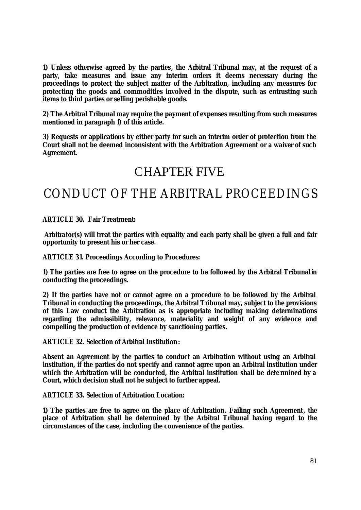**1) Unless otherwise agreed by the parties, the Arbitral Tribunal may, at the request of a party, take measures and issue any interim orders it deems necessary during the proceedings to protect the subject matter of the Arbitration, including any measures for protecting the goods and commodities involved in the dispute, such as entrusting such items to third parties or selling perishable goods.** 

**2) The Arbitral Tribunal may require the payment of expenses resulting from such measures mentioned in paragraph 1) of this article.**

**3) Requests or applications by either party for such an interim order of protection from the Court shall not be deemed inconsistent with the Arbitration Agreement or a waiver of such Agreement.**

### CHAPTER FIVE

### CONDUCT OF THE ARBITRAL PROCEEDINGS

**ARTICLE 30. Fair Treatment:**

 **Arbitrator(s) will treat the parties with equality and each party shall be given a full and fair opportunity to present his or her case.** 

**ARTICLE 31. Proceedings According to Procedures:**

**1) The parties are free to agree on the procedure to be followed by the Arbitral Tribunal in conducting the proceedings.**

**2) If the parties have not or cannot agree on a procedure to be followed by the Arbitral Tribunal in conducting the proceedings, the Arbitral Tribunal may, subject to the provisions of this Law conduct the Arbitration as is appropriate including making determinations regarding the admissibility, relevance, materiality and weight of any evidence and compelling the production of evidence by sanctioning parties.** 

**ARTICLE 32. Selection of Arbitral Institution:** 

**Absent an Agreement by the parties to conduct an Arbitration without using an Arbitral institution, if the parties do not specify and cannot agree upon an Arbitral institution under which the Arbitration will be conducted, the Arbitral institution shall be dete rmined by a Court, which decision shall not be subject to further appeal.**

**ARTICLE 33. Selection of Arbitration Location:**

**1) The parties are free to agree on the place of Arbitration. Failing such Agreement, the place of Arbitration shall be determined by the Arbitral Tribunal having regard to the circumstances of the case, including the convenience of the parties.**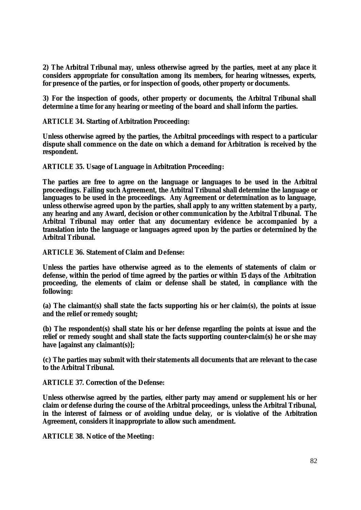**2) The Arbitral Tribunal may, unless otherwise agreed by the parties, meet at any place it considers appropriate for consultation among its members, for hearing witnesses, experts, for presence of the parties, or for inspection of goods, other property or documents.**

**3) For the inspection of goods, other property or documents, the Arbitral Tribunal shall determine a time for any hearing or meeting of the board and shall inform the parties.**

**ARTICLE 34. Starting of Arbitration Proceeding:** 

**Unless otherwise agreed by the parties, the Arbitral proceedings with respect to a particular dispute shall commence on the date on which a demand for Arbitration is received by the respondent.** 

**ARTICLE 35. Usage of Language in Arbitration Proceeding:** 

**The parties are free to agree on the language or languages to be used in the Arbitral proceedings. Failing such Agreement, the Arbitral Tribunal shall determine the language or languages to be used in the proceedings. Any Agreement or determination as to language, unless otherwise agreed upon by the parties, shall apply to any written statement by a party, any hearing and any Award, decision or other communication by the Arbitral Tribunal. The Arbitral Tribunal may order that any documentary evidence be accompanied by a translation into the language or languages agreed upon by the parties or determined by the Arbitral Tribunal.** 

**ARTICLE 36. Statement of Claim and Defense:** 

**Unless the parties have otherwise agreed as to the elements of statements of claim or defense, within the period of time agreed by the parties or within 15 days of the Arbitration proceeding, the elements of claim or defense shall be stated, in compliance with the following:**

**(a) The claimant(s) shall state the facts supporting his or her claim(s), the points at issue and the relief or remedy sought;**

**(b) The respondent(s) shall state his or her defense regarding the points at issue and the relief or remedy sought and shall state the facts supporting counter-claim(s) he or she may have [against any claimant(s)];**

**(c) The parties may submit with their statements all documents that are relevant to the case to the Arbitral Tribunal.**

**ARTICLE 37. Correction of the Defense:** 

**Unless otherwise agreed by the parties, either party may amend or supplement his or her claim or defense during the course of the Arbitral proceedings, unless the Arbitral Tribunal, in the interest of fairness or of avoiding undue delay, or is violative of the Arbitration Agreement, considers it inappropriate to allow such amendment.** 

**ARTICLE 38. Notice of the Meeting:**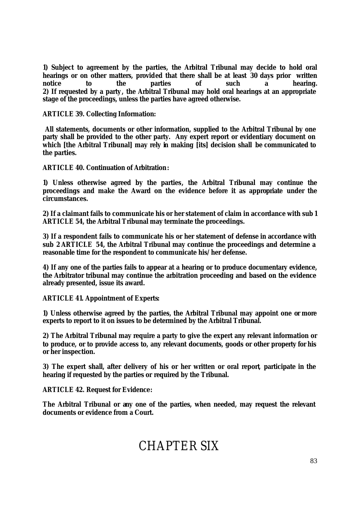**1) Subject to agreement by the parties, the Arbitral Tribunal may decide to hold oral hearings or on other matters, provided that there shall be at least 30 days prior written notice to the parties of such a hearing. 2) If requested by a party , the Arbitral Tribunal may hold oral hearings at an appropriate stage of the proceedings, unless the parties have agreed otherwise.** 

**ARTICLE 39. Collecting Information:**

 **All statements, documents or other information, supplied to the Arbitral Tribunal by one party shall be provided to the other party. Any expert report or evidentiary document on which [the Arbitral Tribunal] may rely in making [its] decision shall be communicated to the parties.**

**ARTICLE 40. Continuation of Arbitration:**

**1) Unless otherwise agreed by the parties, the Arbitral Tribunal may continue the proceedings and make the Award on the evidence before it as appropriate under the circumstances.**

**2) If a claimant fails to communicate his or her statement of claim in accordance with sub 1 ARTICLE 54, the Arbitral Tribunal may terminate the proceedings.**

**3) If a respondent fails to communicate his or her statement of defense in accordance with sub 2 ARTICLE 54, the Arbitral Tribunal may continue the proceedings and determine a reasonable time for the respondent to communicate his/her defense.** 

**4) If any one of the parties fails to appear at a hearing or to produce documentary evidence, the Arbitrator tribunal may continue the arbitration proceeding and based on the evidence already presented, issue its award.** 

**ARTICLE 41. Appointment of Experts:** 

**1) Unless otherwise agreed by the parties, the Arbitral Tribunal may appoint one or more experts to report to it on issues to be determined by the Arbitral Tribunal.** 

**2) The Arbitral Tribunal may require a party to give the expert any relevant information or to produce, or to provide access to, any relevant documents, goods or other property for his or her inspection.** 

**3) The expert shall, after delivery of his or her written or oral report, participate in the hearing if requested by the parties or required by the Tribunal.** 

**ARTICLE 42. Request for Evidence:** 

**The Arbitral Tribunal or any one of the parties, when needed, may request the relevant documents or evidence from a Court.** 

# CHAPTER SIX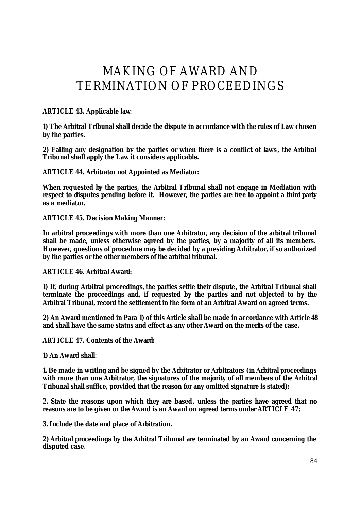# MAKING OF AWARD AND TERMINATION OF PROCEEDINGS

#### **ARTICLE 43. Applicable law:**

**1) The Arbitral Tribunal shall decide the dispute in accordance with the rules of Law chosen by the parties.**

**2) Failing any designation by the parties or when there is a conflict of laws , the Arbitral Tribunal shall apply the Law it considers applicable.** 

**ARTICLE 44. Arbitrator not Appointed as Mediator:** 

**When requested by the parties, the Arbitral Tribunal shall not engage in Mediation with respect to disputes pending before it. However, the parties are free to appoint a third party as a mediator.**

**ARTICLE 45. Decision Making Manner:** 

**In arbitral proceedings with more than one Arbitrator, any decision of the arbitral tribunal shall be made, unless otherwise agreed by the parties, by a majority of all its members. However, questions of procedure may be decided by a presiding Arbitrator, if so authorized by the parties or the other members of the arbitral tribunal.**

**ARTICLE 46. Arbitral Award:** 

**1) If, during Arbitral proceedings, the parties settle their dispute , the Arbitral Tribunal shall terminate the proceedings and, if requested by the parties and not objected to by the Arbitral Tribunal, record the settlement in the form of an Arbitral Award on agreed terms.** 

**2) An Award mentioned in Para 1) of this Article shall be made in accordance with Article 48 and shall have the same status and effect as any other Award on the merits of the case.** 

**ARTICLE 47. Contents of the Award:** 

**1) An Award shall:**

**1. Be made in writing and be signed by the Arbitrator or Arbitrators (in Arbitral proceedings with more than one Arbitrator, the signatures of the majority of all members of the Arbitral Tribunal shall suffice, provided that the reason for any omitted signature is stated);**

**2. State the reasons upon which they are based, unless the parties have agreed that no reasons are to be given or the Award is an Award on agreed terms under ARTICLE 47;**

**3. Include the date and place of Arbitration.** 

**2) Arbitral proceedings by the Arbitral Tribunal are terminated by an Award concerning the disputed case.**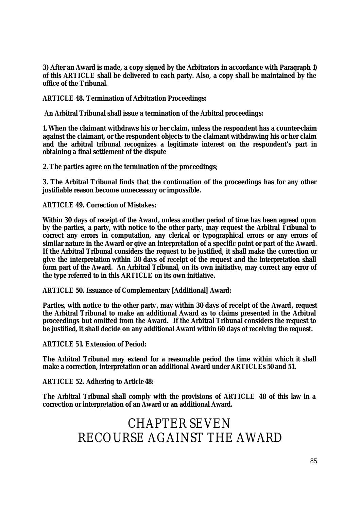**3) After an Award is made, a copy signed by the Arbitrators in accordance with Paragraph 1) of this ARTICLE shall be delivered to each party. Also, a copy shall be maintained by the office of the Tribunal.** 

**ARTICLE 48. Termination of Arbitration Proceedings:** 

 **An Arbitral Tribunal shall issue a termination of the Arbitral proceedings:**

**1. When the claimant withdraws his or her claim, unless the respondent has a counter-claim against the claimant, or the respondent objects to the claimant withdrawing his or her claim and the arbitral tribunal recognizes a legitimate interest on the respondent's part in obtaining a final settlement of the dispute**

**2. The parties agree on the termination of the proceedings;** 

**3. The Arbitral Tribunal finds that the continuation of the proceedings has for any other justifiable reason become unnecessary or impossible.** 

**ARTICLE 49. Correction of Mistakes:** 

**Within 30 days of receipt of the Award, unless another period of time has been agreed upon by the parties, a party, with notice to the other party, may request the Arbitral Tribunal to correct any errors in computation, any clerical or typographical errors or any errors of similar nature in the Award or give an interpretation of a specific point or part of the Award. If the Arbitral Tribunal considers the request to be justified, it shall make the correction or give the interpretation within 30 days of receipt of the request and the interpretation shall form part of the Award. An Arbitral Tribunal, on its own initiative, may correct any error of the type referred to in this ARTICLE on its own initiative.**

**ARTICLE 50. Issuance of Complementary [Additional] Award:**

**Parties, with notice to the other party , may within 30 days of receipt of the Award, request the Arbitral Tribunal to make an additional Award as to claims presented in the Arbitral proceedings but omitted from the Award. If the Arbitral Tribunal considers the request to be justified, it shall decide on any additional Award within 60 days of receiving the request.** 

**ARTICLE 51. Extension of Period:**

**The Arbitral Tribunal may extend for a reasonable period the time within which it shall make a correction, interpretation or an additional Award under ARTICLEs 50 and 51.**

**ARTICLE 52. Adhering to Article 48:**

**The Arbitral Tribunal shall comply with the provisions of ARTICLE 48 of this law in a correction or interpretation of an Award or an additional Award.** 

# CHAPTER SEVEN RECOURSE AGAINST THE AWARD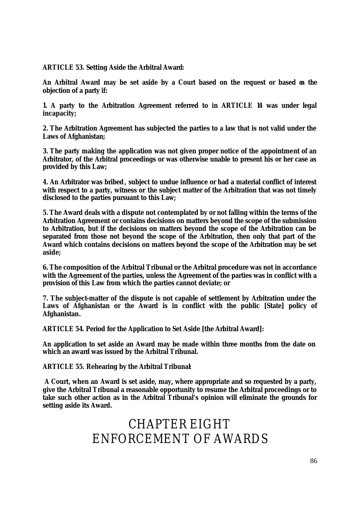**ARTICLE 53. Setting Aside the Arbitral Award:**

**An Arbitral Award may be set aside by a Court based on the request or based on the objection of a party if:** 

**1. A party to the Arbitration Agreement referred to in ARTICLE 14 was under legal incapacity;**

**2. The Arbitration Agreement has subjected the parties to a law that is not valid under the Laws of Afghanistan;**

**3. The party making the application was not given proper notice of the appointment of an Arbitrator, of the Arbitral proceedings or was otherwise unable to present his or her case as provided by this Law;**

**4. An Arbitrator was bribed, subject to undue influence or had a material conflict of interest**  with respect to a party, witness or the subject matter of the Arbitration that was not timely **disclosed to the parties pursuant to this Law;**

**5. The Award deals with a dispute not contemplated by or not falling within the terms of the Arbitration Agreement or contains decisions on matters beyond the scope of the submission to Arbitration, but if the decisions on matters beyond the scope of the Arbitration can be separated from those not beyond the scope of the Arbitration, then only that part of the Award which contains decisions on matters beyond the scope of the Arbitration may be set aside;**

**6. The composition of the Arbitral Tribunal or the Arbitral procedure was not in accordance with the Agreement of the parties, unless the Agreement of the parties was in conflict with a provision of this Law from which the parties cannot deviate; or** 

**7. The subject-matter of the dispute is not capable of settlement by Arbitration under the Laws of Afghanistan or the Award is in conflict with the public [State] policy of Afghanistan.**

**ARTICLE 54. Period for the Application to Set Aside [the Arbitral Award]:**

**An application to set aside an Award may be made within three months from the date on which an award was issued by the Arbitral Tribunal.** 

**ARTICLE 55. Rehearing by the Arbitral Tribunal:**

 **A Court, when an Award is set aside, may, where appropriate and so requested by a party, give the Arbitral Tribunal a reasonable opportunity to resume the Arbitral proceedings or to take such other action as in the Arbitral Tribunal's opinion will eliminate the grounds for setting aside its Award.** 

> CHAPTER EIGHT ENFORCEMENT OF AWARDS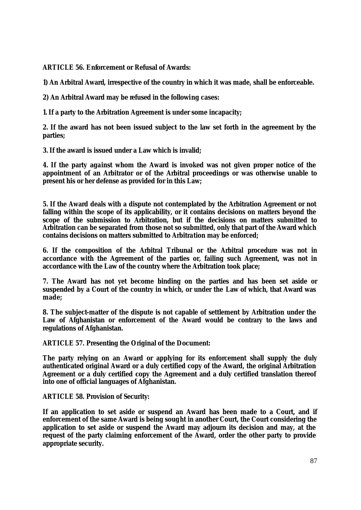**ARTICLE 56. Enforcement or Refusal of Awards:** 

**1) An Arbitral Award, irrespective of the country in which it was made, shall be enforceable.** 

**2) An Arbitral Award may be refused in the following cases:** 

**1. If a party to the Arbitration Agreement is under some incapacity;**

**2. If the award has not been issued subject to the law set forth in the agreement by the parties;** 

**3. If the award is issued under a Law which is invalid;** 

**4. If the party against whom the Award is invoked was not given proper notice of the appointment of an Arbitrator or of the Arbitral proceedings or was otherwise unable to present his or her defense as provided for in this Law;**

**5. If the Award deals with a dispute not contemplated by the Arbitration Agreement or not falling within the scope of its applicability, or it contains decisions on matters beyond the scope of the submission to Arbitration, but if the decisions on matters submitted to Arbitration can be separated from those not so submitted, only that part of the Award which contains decisions on matters submitted to Arbitration may be enforced;**

**6. If the composition of the Arbitral Tribunal or the Arbitral procedure was not in accordance with the Agreement of the parties or, failing such Agreement, was not in accordance with the Law of the country where the Arbitration took place;** 

**7. The Award has not yet become binding on the parties and has been set aside or suspended by a Court of the country in which, or under the Law of which, that Award was made;**

**8. The subject-matter of the dispute is not capable of settlement by Arbitration under the Law of Afghanistan or enforcement of the Award would be contrary to the laws and regulations of Afghanistan.**

**ARTICLE 57. Presenting the Original of the Document:** 

**The party relying on an Award or applying for its enforcement shall supply the duly authenticated original Award or a duly certified copy of the Award, the original Arbitration Agreement or a duly certified copy the Agreement and a duly certified translation thereof into one of official languages of Afghanistan.** 

**ARTICLE 58. Provision of Security:** 

**If an application to set aside or suspend an Award has been made to a Court, and if enforcement of the same Award is being sought in another Court, the Court considering the application to set aside or suspend the Award may adjourn its decision and may, at the request of the party claiming enforcement of the Award, order the other party to provide appropriate security.**